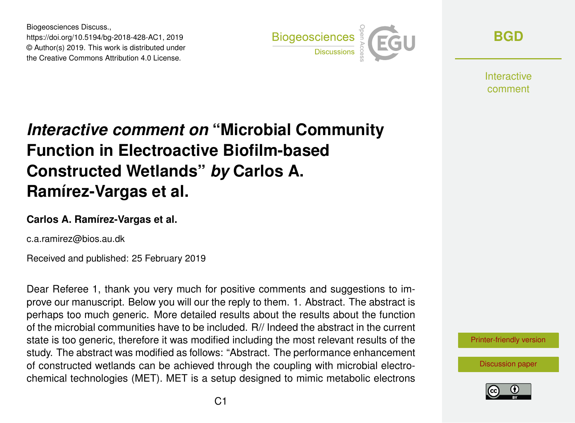Biogeosciences Discuss., https://doi.org/10.5194/bg-2018-428-AC1, 2019 © Author(s) 2019. This work is distributed under the Creative Commons Attribution 4.0 License.



**[BGD](https://www.biogeosciences-discuss.net/)**

**Interactive** comment

# *Interactive comment on* **"Microbial Community Function in Electroactive Biofilm-based Constructed Wetlands"** *by* **Carlos A. Ramírez-Vargas et al.**

#### **Carlos A. Ramírez-Vargas et al.**

c.a.ramirez@bios.au.dk

Received and published: 25 February 2019

Dear Referee 1, thank you very much for positive comments and suggestions to improve our manuscript. Below you will our the reply to them. 1. Abstract. The abstract is perhaps too much generic. More detailed results about the results about the function of the microbial communities have to be included. R// Indeed the abstract in the current state is too generic, therefore it was modified including the most relevant results of the study. The abstract was modified as follows: "Abstract. The performance enhancement of constructed wetlands can be achieved through the coupling with microbial electrochemical technologies (MET). MET is a setup designed to mimic metabolic electrons



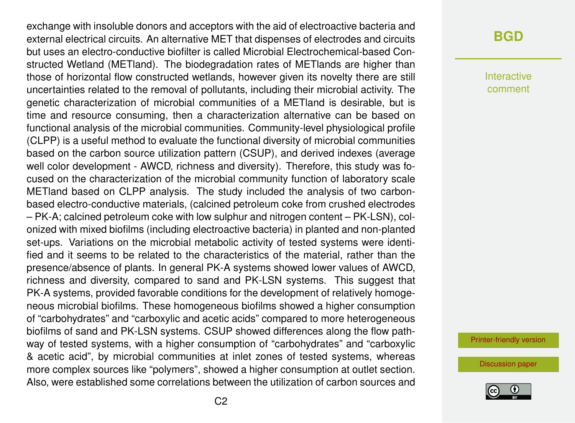exchange with insoluble donors and acceptors with the aid of electroactive bacteria and external electrical circuits. An alternative MET that dispenses of electrodes and circuits but uses an electro-conductive biofilter is called Microbial Electrochemical-based Constructed Wetland (METland). The biodegradation rates of METlands are higher than those of horizontal flow constructed wetlands, however given its novelty there are still uncertainties related to the removal of pollutants, including their microbial activity. The genetic characterization of microbial communities of a METland is desirable, but is time and resource consuming, then a characterization alternative can be based on functional analysis of the microbial communities. Community-level physiological profile (CLPP) is a useful method to evaluate the functional diversity of microbial communities based on the carbon source utilization pattern (CSUP), and derived indexes (average well color development - AWCD, richness and diversity). Therefore, this study was focused on the characterization of the microbial community function of laboratory scale METland based on CLPP analysis. The study included the analysis of two carbonbased electro-conductive materials, (calcined petroleum coke from crushed electrodes – PK-A; calcined petroleum coke with low sulphur and nitrogen content – PK-LSN), colonized with mixed biofilms (including electroactive bacteria) in planted and non-planted set-ups. Variations on the microbial metabolic activity of tested systems were identified and it seems to be related to the characteristics of the material, rather than the presence/absence of plants. In general PK-A systems showed lower values of AWCD, richness and diversity, compared to sand and PK-LSN systems. This suggest that PK-A systems, provided favorable conditions for the development of relatively homogeneous microbial biofilms. These homogeneous biofilms showed a higher consumption of "carbohydrates" and "carboxylic and acetic acids" compared to more heterogeneous biofilms of sand and PK-LSN systems. CSUP showed differences along the flow pathway of tested systems, with a higher consumption of "carbohydrates" and "carboxylic & acetic acid", by microbial communities at inlet zones of tested systems, whereas more complex sources like "polymers", showed a higher consumption at outlet section. Also, were established some correlations between the utilization of carbon sources and

#### **[BGD](https://www.biogeosciences-discuss.net/)**

Interactive comment

[Printer-friendly version](https://www.biogeosciences-discuss.net/bg-2018-428/bg-2018-428-AC1-print.pdf)

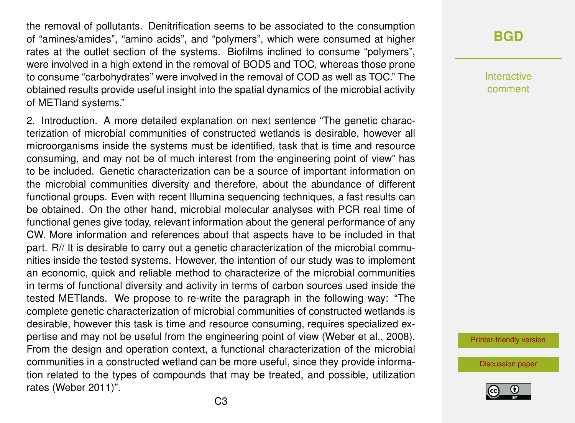the removal of pollutants. Denitrification seems to be associated to the consumption of "amines/amides", "amino acids", and "polymers", which were consumed at higher rates at the outlet section of the systems. Biofilms inclined to consume "polymers", were involved in a high extend in the removal of BOD5 and TOC, whereas those prone to consume "carbohydrates" were involved in the removal of COD as well as TOC." The obtained results provide useful insight into the spatial dynamics of the microbial activity of METland systems."

2. Introduction. A more detailed explanation on next sentence "The genetic characterization of microbial communities of constructed wetlands is desirable, however all microorganisms inside the systems must be identified, task that is time and resource consuming, and may not be of much interest from the engineering point of view" has to be included. Genetic characterization can be a source of important information on the microbial communities diversity and therefore, about the abundance of different functional groups. Even with recent Illumina sequencing techniques, a fast results can be obtained. On the other hand, microbial molecular analyses with PCR real time of functional genes give today, relevant information about the general performance of any CW. More information and references about that aspects have to be included in that part. R// It is desirable to carry out a genetic characterization of the microbial communities inside the tested systems. However, the intention of our study was to implement an economic, quick and reliable method to characterize of the microbial communities in terms of functional diversity and activity in terms of carbon sources used inside the tested METlands. We propose to re-write the paragraph in the following way: "The complete genetic characterization of microbial communities of constructed wetlands is desirable, however this task is time and resource consuming, requires specialized expertise and may not be useful from the engineering point of view (Weber et al., 2008). From the design and operation context, a functional characterization of the microbial communities in a constructed wetland can be more useful, since they provide information related to the types of compounds that may be treated, and possible, utilization rates (Weber 2011)".

#### **[BGD](https://www.biogeosciences-discuss.net/)**

Interactive comment

[Printer-friendly version](https://www.biogeosciences-discuss.net/bg-2018-428/bg-2018-428-AC1-print.pdf)

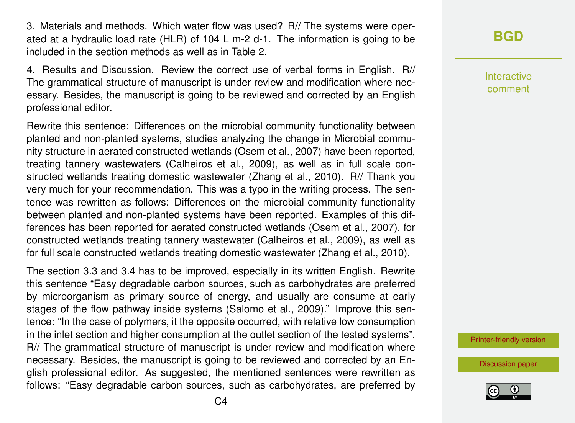3. Materials and methods. Which water flow was used? R// The systems were operated at a hydraulic load rate (HLR) of 104 L m-2 d-1. The information is going to be included in the section methods as well as in Table 2.

4. Results and Discussion. Review the correct use of verbal forms in English. R// The grammatical structure of manuscript is under review and modification where necessary. Besides, the manuscript is going to be reviewed and corrected by an English professional editor.

Rewrite this sentence: Differences on the microbial community functionality between planted and non-planted systems, studies analyzing the change in Microbial community structure in aerated constructed wetlands (Osem et al., 2007) have been reported, treating tannery wastewaters (Calheiros et al., 2009), as well as in full scale constructed wetlands treating domestic wastewater (Zhang et al., 2010). R// Thank you very much for your recommendation. This was a typo in the writing process. The sentence was rewritten as follows: Differences on the microbial community functionality between planted and non-planted systems have been reported. Examples of this differences has been reported for aerated constructed wetlands (Osem et al., 2007), for constructed wetlands treating tannery wastewater (Calheiros et al., 2009), as well as for full scale constructed wetlands treating domestic wastewater (Zhang et al., 2010).

The section 3.3 and 3.4 has to be improved, especially in its written English. Rewrite this sentence "Easy degradable carbon sources, such as carbohydrates are preferred by microorganism as primary source of energy, and usually are consume at early stages of the flow pathway inside systems (Salomo et al., 2009)." Improve this sentence: "In the case of polymers, it the opposite occurred, with relative low consumption in the inlet section and higher consumption at the outlet section of the tested systems". R// The grammatical structure of manuscript is under review and modification where necessary. Besides, the manuscript is going to be reviewed and corrected by an English professional editor. As suggested, the mentioned sentences were rewritten as follows: "Easy degradable carbon sources, such as carbohydrates, are preferred by

## **[BGD](https://www.biogeosciences-discuss.net/)**

Interactive comment

[Printer-friendly version](https://www.biogeosciences-discuss.net/bg-2018-428/bg-2018-428-AC1-print.pdf)

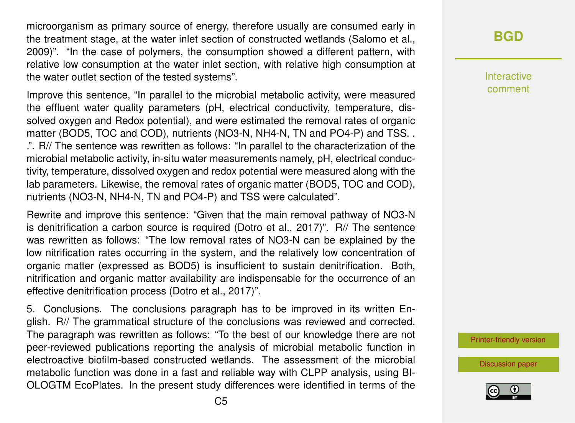microorganism as primary source of energy, therefore usually are consumed early in the treatment stage, at the water inlet section of constructed wetlands (Salomo et al., 2009)". "In the case of polymers, the consumption showed a different pattern, with relative low consumption at the water inlet section, with relative high consumption at the water outlet section of the tested systems".

Improve this sentence, "In parallel to the microbial metabolic activity, were measured the effluent water quality parameters (pH, electrical conductivity, temperature, dissolved oxygen and Redox potential), and were estimated the removal rates of organic matter (BOD5, TOC and COD), nutrients (NO3-N, NH4-N, TN and PO4-P) and TSS. . .". R// The sentence was rewritten as follows: "In parallel to the characterization of the microbial metabolic activity, in-situ water measurements namely, pH, electrical conductivity, temperature, dissolved oxygen and redox potential were measured along with the lab parameters. Likewise, the removal rates of organic matter (BOD5, TOC and COD), nutrients (NO3-N, NH4-N, TN and PO4-P) and TSS were calculated".

Rewrite and improve this sentence: "Given that the main removal pathway of NO3-N is denitrification a carbon source is required (Dotro et al., 2017)". R// The sentence was rewritten as follows: "The low removal rates of NO3-N can be explained by the low nitrification rates occurring in the system, and the relatively low concentration of organic matter (expressed as BOD5) is insufficient to sustain denitrification. Both, nitrification and organic matter availability are indispensable for the occurrence of an effective denitrification process (Dotro et al., 2017)".

5. Conclusions. The conclusions paragraph has to be improved in its written English. R// The grammatical structure of the conclusions was reviewed and corrected. The paragraph was rewritten as follows: "To the best of our knowledge there are not peer-reviewed publications reporting the analysis of microbial metabolic function in electroactive biofilm-based constructed wetlands. The assessment of the microbial metabolic function was done in a fast and reliable way with CLPP analysis, using BI-OLOGTM EcoPlates. In the present study differences were identified in terms of the

### **[BGD](https://www.biogeosciences-discuss.net/)**

Interactive comment

[Printer-friendly version](https://www.biogeosciences-discuss.net/bg-2018-428/bg-2018-428-AC1-print.pdf)

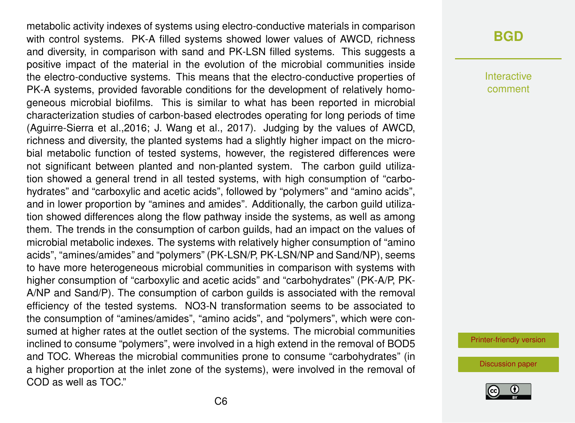metabolic activity indexes of systems using electro-conductive materials in comparison with control systems. PK-A filled systems showed lower values of AWCD, richness and diversity, in comparison with sand and PK-LSN filled systems. This suggests a positive impact of the material in the evolution of the microbial communities inside the electro-conductive systems. This means that the electro-conductive properties of PK-A systems, provided favorable conditions for the development of relatively homogeneous microbial biofilms. This is similar to what has been reported in microbial characterization studies of carbon-based electrodes operating for long periods of time (Aguirre-Sierra et al.,2016; J. Wang et al., 2017). Judging by the values of AWCD, richness and diversity, the planted systems had a slightly higher impact on the microbial metabolic function of tested systems, however, the registered differences were not significant between planted and non-planted system. The carbon guild utilization showed a general trend in all tested systems, with high consumption of "carbohydrates" and "carboxylic and acetic acids", followed by "polymers" and "amino acids", and in lower proportion by "amines and amides". Additionally, the carbon guild utilization showed differences along the flow pathway inside the systems, as well as among them. The trends in the consumption of carbon guilds, had an impact on the values of microbial metabolic indexes. The systems with relatively higher consumption of "amino acids", "amines/amides" and "polymers" (PK-LSN/P, PK-LSN/NP and Sand/NP), seems to have more heterogeneous microbial communities in comparison with systems with higher consumption of "carboxylic and acetic acids" and "carbohydrates" (PK-A/P, PK-A/NP and Sand/P). The consumption of carbon guilds is associated with the removal efficiency of the tested systems. NO3-N transformation seems to be associated to the consumption of "amines/amides", "amino acids", and "polymers", which were consumed at higher rates at the outlet section of the systems. The microbial communities inclined to consume "polymers", were involved in a high extend in the removal of BOD5 and TOC. Whereas the microbial communities prone to consume "carbohydrates" (in a higher proportion at the inlet zone of the systems), were involved in the removal of COD as well as TOC."

#### **[BGD](https://www.biogeosciences-discuss.net/)**

Interactive comment

[Printer-friendly version](https://www.biogeosciences-discuss.net/bg-2018-428/bg-2018-428-AC1-print.pdf)